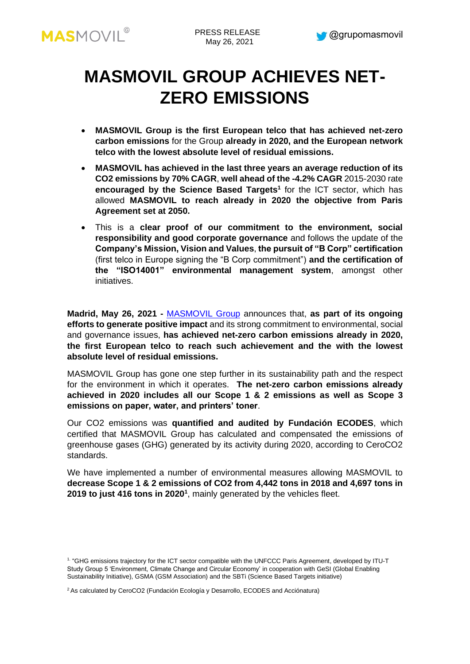

# **MASMOVIL GROUP ACHIEVES NET-ZERO EMISSIONS**

- **MASMOVIL Group is the first European telco that has achieved net-zero carbon emissions** for the Group **already in 2020, and the European network telco with the lowest absolute level of residual emissions.**
- **MASMOVIL has achieved in the last three years an average reduction of its CO2 emissions by 70% CAGR**, **well ahead of the -4.2% CAGR** 2015-2030 rate **encouraged by the Science Based Targets<sup>1</sup>** for the ICT sector, which has allowed **MASMOVIL to reach already in 2020 the objective from Paris Agreement set at 2050.**
- This is a **clear proof of our commitment to the environment, social responsibility and good corporate governance** and follows the update of the **Company's Mission, Vision and Values**, **the pursuit of "B Corp" certification** (first telco in Europe signing the "B Corp commitment") **and the certification of the "ISO14001" environmental management system**, amongst other initiatives.

**Madrid, May 26, 2021 -** [MASMOVIL Group](http://www.grupomasmovil.com/) announces that, **as part of its ongoing efforts to generate positive impact** and its strong commitment to environmental, social and governance issues, **has achieved net-zero carbon emissions already in 2020, the first European telco to reach such achievement and the with the lowest absolute level of residual emissions.**

MASMOVIL Group has gone one step further in its sustainability path and the respect for the environment in which it operates. **The net-zero carbon emissions already achieved in 2020 includes all our Scope 1 & 2 emissions as well as Scope 3 emissions on paper, water, and printers' toner**.

Our CO2 emissions was **quantified and audited by Fundación ECODES**, which certified that MASMOVIL Group has calculated and compensated the emissions of greenhouse gases (GHG) generated by its activity during 2020, according to CeroCO2 standards.

We have implemented a number of environmental measures allowing MASMOVIL to **decrease Scope 1 & 2 emissions of CO2 from 4,442 tons in 2018 and 4,697 tons in 2019 to just 416 tons in 2020<sup>1</sup>** , mainly generated by the vehicles fleet.

<sup>1.</sup> "GHG emissions trajectory for the ICT sector compatible with the UNFCCC Paris Agreement, developed by ITU-T Study Group 5 'Environment, Climate Change and Circular Economy' in cooperation with GeSI (Global Enabling Sustainability Initiative), GSMA (GSM Association) and the SBTi (Science Based Targets initiative)

<sup>&</sup>lt;sup>2</sup> As calculated by CeroCO2 (Fundación Ecología y Desarrollo, ECODES and Acciónatura)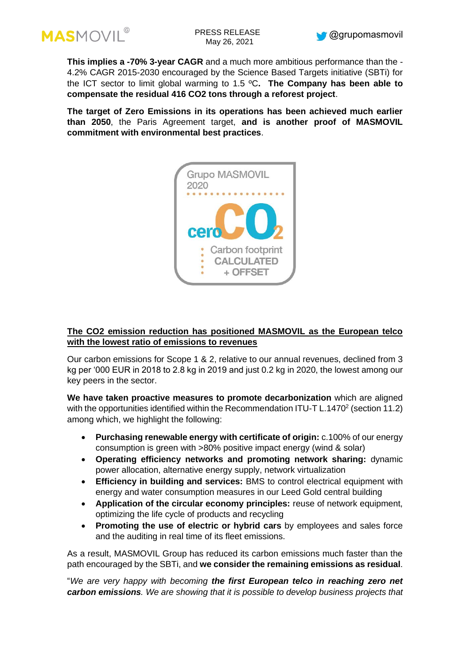



**This implies a -70% 3-year CAGR** and a much more ambitious performance than the - 4.2% CAGR 2015-2030 encouraged by the Science Based Targets initiative (SBTi) for the ICT sector to limit global warming to 1.5 ºC**. The Company has been able to compensate the residual 416 CO2 tons through a reforest project**.

**The target of Zero Emissions in its operations has been achieved much earlier than 2050**, the Paris Agreement target, **and is another proof of MASMOVIL commitment with environmental best practices**.



# **The CO2 emission reduction has positioned MASMOVIL as the European telco with the lowest ratio of emissions to revenues**

Our carbon emissions for Scope 1 & 2, relative to our annual revenues, declined from 3 kg per '000 EUR in 2018 to 2.8 kg in 2019 and just 0.2 kg in 2020, the lowest among our key peers in the sector.

**We have taken proactive measures to promote decarbonization** which are aligned with the opportunities identified within the Recommendation ITU-T L.1470 $2$  (section 11.2) among which, we highlight the following:

- **Purchasing renewable energy with certificate of origin:** c.100% of our energy consumption is green with >80% positive impact energy (wind & solar)
- **Operating efficiency networks and promoting network sharing:** dynamic power allocation, alternative energy supply, network virtualization
- **Efficiency in building and services:** BMS to control electrical equipment with energy and water consumption measures in our Leed Gold central building
- **Application of the circular economy principles:** reuse of network equipment, optimizing the life cycle of products and recycling
- **Promoting the use of electric or hybrid cars** by employees and sales force and the auditing in real time of its fleet emissions.

As a result, MASMOVIL Group has reduced its carbon emissions much faster than the path encouraged by the SBTi, and **we consider the remaining emissions as residual**.

"*We are very happy with becoming the first European telco in reaching zero net carbon emissions. We are showing that it is possible to develop business projects that*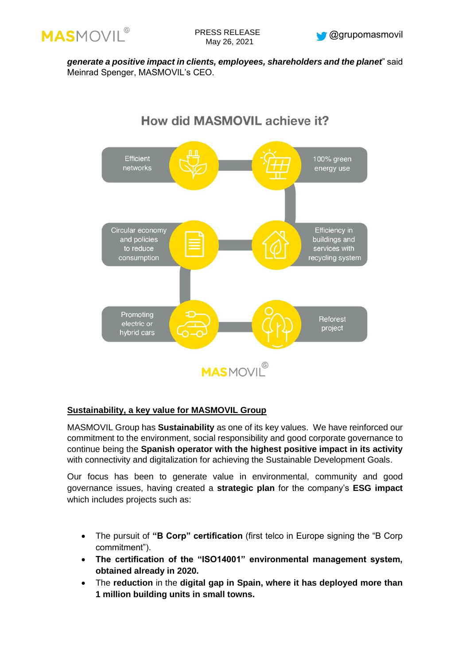



*generate a positive impact in clients, employees, shareholders and the planet*" said Meinrad Spenger, MASMOVIL's CEO.

# How did MASMOVIL achieve it?



### **Sustainability, a key value for MASMOVIL Group**

MASMOVIL Group has **Sustainability** as one of its key values. We have reinforced our commitment to the environment, social responsibility and good corporate governance to continue being the **Spanish operator with the highest positive impact in its activity** with connectivity and digitalization for achieving the Sustainable Development Goals.

Our focus has been to generate value in environmental, community and good governance issues, having created a **strategic plan** for the company's **ESG impact** which includes projects such as:

- The pursuit of **"B Corp" certification** (first telco in Europe signing the "B Corp commitment").
- **The certification of the "ISO14001" environmental management system, obtained already in 2020.**
- The **reduction** in the **digital gap in Spain, where it has deployed more than 1 million building units in small towns.**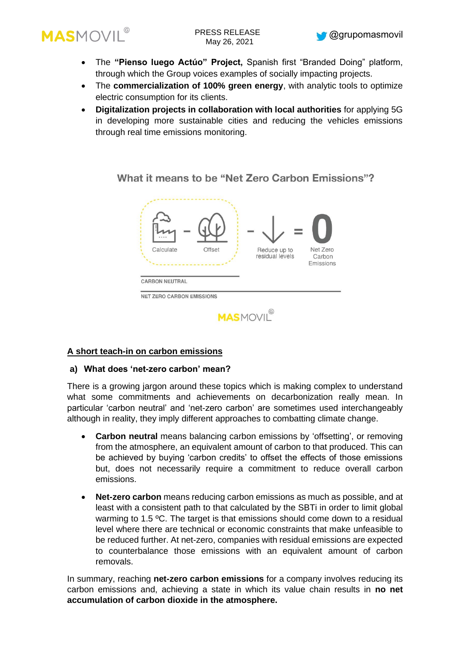

- The **"Pienso luego Actúo" Project,** Spanish first "Branded Doing" platform, through which the Group voices examples of socially impacting projects.
- The **commercialization of 100% green energy**, with analytic tools to optimize electric consumption for its clients.
- **Digitalization projects in collaboration with local authorities** for applying 5G in developing more sustainable cities and reducing the vehicles emissions through real time emissions monitoring.

What it means to be "Net Zero Carbon Emissions"?



# **A short teach-in on carbon emissions**

### **a) What does 'net-zero carbon' mean?**

There is a growing jargon around these topics which is making complex to understand what some commitments and achievements on decarbonization really mean. In particular 'carbon neutral' and 'net-zero carbon' are sometimes used interchangeably although in reality, they imply different approaches to combatting climate change.

- **Carbon neutral** means balancing carbon emissions by 'offsetting', or removing from the atmosphere, an equivalent amount of carbon to that produced. This can be achieved by buying 'carbon credits' to offset the effects of those emissions but, does not necessarily require a commitment to reduce overall carbon emissions.
- **Net-zero carbon** means reducing carbon emissions as much as possible, and at least with a consistent path to that calculated by the SBTi in order to limit global warming to 1.5 °C. The target is that emissions should come down to a residual level where there are technical or economic constraints that make unfeasible to be reduced further. At net-zero, companies with residual emissions are expected to counterbalance those emissions with an equivalent amount of carbon removals.

In summary, reaching **net-zero carbon emissions** for a company involves reducing its carbon emissions and, achieving a state in which its value chain results in **no net accumulation of carbon dioxide in the atmosphere.**